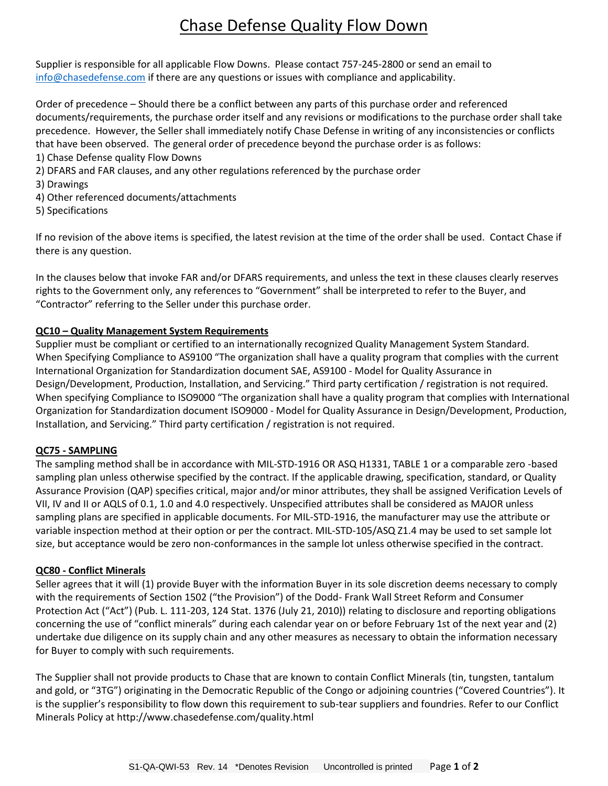# Chase Defense Quality Flow Down

Supplier is responsible for all applicable Flow Downs. Please contact 757-245-2800 or send an email to [info@chasedefense.com](mailto:info@chasedefense.com) if there are any questions or issues with compliance and applicability.

Order of precedence – Should there be a conflict between any parts of this purchase order and referenced documents/requirements, the purchase order itself and any revisions or modifications to the purchase order shall take precedence. However, the Seller shall immediately notify Chase Defense in writing of any inconsistencies or conflicts that have been observed. The general order of precedence beyond the purchase order is as follows:

- 1) Chase Defense quality Flow Downs
- 2) DFARS and FAR clauses, and any other regulations referenced by the purchase order
- 3) Drawings
- 4) Other referenced documents/attachments
- 5) Specifications

If no revision of the above items is specified, the latest revision at the time of the order shall be used. Contact Chase if there is any question.

In the clauses below that invoke FAR and/or DFARS requirements, and unless the text in these clauses clearly reserves rights to the Government only, any references to "Government" shall be interpreted to refer to the Buyer, and "Contractor" referring to the Seller under this purchase order.

#### **QC10 – Quality Management System Requirements**

Supplier must be compliant or certified to an internationally recognized Quality Management System Standard. When Specifying Compliance to AS9100 "The organization shall have a quality program that complies with the current International Organization for Standardization document SAE, AS9100 - Model for Quality Assurance in Design/Development, Production, Installation, and Servicing." Third party certification / registration is not required. When specifying Compliance to ISO9000 "The organization shall have a quality program that complies with International Organization for Standardization document ISO9000 - Model for Quality Assurance in Design/Development, Production, Installation, and Servicing." Third party certification / registration is not required.

#### **QC75 - SAMPLING**

The sampling method shall be in accordance with MIL-STD-1916 OR ASQ H1331, TABLE 1 or a comparable zero -based sampling plan unless otherwise specified by the contract. If the applicable drawing, specification, standard, or Quality Assurance Provision (QAP) specifies critical, major and/or minor attributes, they shall be assigned Verification Levels of VII, IV and II or AQLS of 0.1, 1.0 and 4.0 respectively. Unspecified attributes shall be considered as MAJOR unless sampling plans are specified in applicable documents. For MIL-STD-1916, the manufacturer may use the attribute or variable inspection method at their option or per the contract. MIL-STD-105/ASQ Z1.4 may be used to set sample lot size, but acceptance would be zero non-conformances in the sample lot unless otherwise specified in the contract.

#### **QC80 - Conflict Minerals**

Seller agrees that it will (1) provide Buyer with the information Buyer in its sole discretion deems necessary to comply with the requirements of Section 1502 ("the Provision") of the Dodd- Frank Wall Street Reform and Consumer Protection Act ("Act") (Pub. L. 111-203, 124 Stat. 1376 (July 21, 2010)) relating to disclosure and reporting obligations concerning the use of "conflict minerals" during each calendar year on or before February 1st of the next year and (2) undertake due diligence on its supply chain and any other measures as necessary to obtain the information necessary for Buyer to comply with such requirements.

The Supplier shall not provide products to Chase that are known to contain Conflict Minerals (tin, tungsten, tantalum and gold, or "3TG") originating in the Democratic Republic of the Congo or adjoining countries ("Covered Countries"). It is the supplier's responsibility to flow down this requirement to sub-tear suppliers and foundries. Refer to our Conflict Minerals Policy a[t http://www.chasedefense.com/quality.html](http://www.chasedefense.com/quality.html)